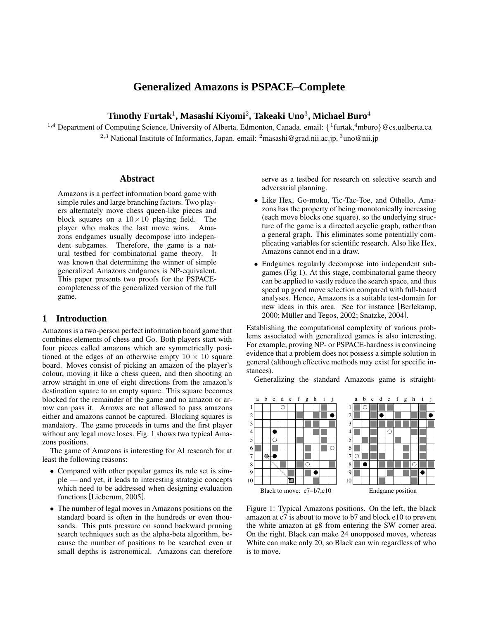# **Generalized Amazons is PSPACE–Complete**

**Timothy Furtak**<sup>1</sup> **, Masashi Kiyomi**<sup>2</sup> **, Takeaki Uno**<sup>3</sup> **, Michael Buro** 4

<sup>1,4</sup> Department of Computing Science, University of Alberta, Edmonton, Canada. email:  $\{^1$ furtak, <sup>4</sup>mburo}@cs.ualberta.ca <sup>2,3</sup> National Institute of Informatics, Japan. email: <sup>2</sup>masashi@grad.nii.ac.jp, <sup>3</sup>uno@nii.jp

## **Abstract**

Amazons is a perfect information board game with simple rules and large branching factors. Two players alternately move chess queen-like pieces and block squares on a  $10 \times 10$  playing field. The player who makes the last move wins. Amazons endgames usually decompose into independent subgames. Therefore, the game is a natural testbed for combinatorial game theory. It was known that determining the winner of simple generalized Amazons endgames is NP-equivalent. This paper presents two proofs for the PSPACEcompleteness of the generalized version of the full game.

## **1 Introduction**

Amazons is a two-person perfect information board game that combines elements of chess and Go. Both players start with four pieces called amazons which are symmetrically positioned at the edges of an otherwise empty  $10 \times 10$  square board. Moves consist of picking an amazon of the player's colour, moving it like a chess queen, and then shooting an arrow straight in one of eight directions from the amazon's destination square to an empty square. This square becomes blocked for the remainder of the game and no amazon or arrow can pass it. Arrows are not allowed to pass amazons either and amazons cannot be captured. Blocking squares is mandatory. The game proceeds in turns and the first player without any legal move loses. Fig. 1 shows two typical Amazons positions.

The game of Amazons is interesting for AI research for at least the following reasons:

- Compared with other popular games its rule set is simple — and yet, it leads to interesting strategic concepts which need to be addressed when designing evaluation functions [Lieberum, 2005].
- The number of legal moves in Amazons positions on the standard board is often in the hundreds or even thousands. This puts pressure on sound backward pruning search techniques such as the alpha-beta algorithm, because the number of positions to be searched even at small depths is astronomical. Amazons can therefore

serve as a testbed for research on selective search and adversarial planning.

- Like Hex, Go-moku, Tic-Tac-Toe, and Othello, Amazons has the property of being monotonically increasing (each move blocks one square), so the underlying structure of the game is a directed acyclic graph, rather than a general graph. This eliminates some potentially complicating variables for scientific research. Also like Hex, Amazons cannot end in a draw.
- Endgames regularly decompose into independent subgames (Fig 1). At this stage, combinatorial game theory can be applied to vastly reduce the search space, and thus speed up good move selection compared with full-board analyses. Hence, Amazons is a suitable test-domain for new ideas in this area. See for instance [Berlekamp, 2000; Müller and Tegos, 2002; Snatzke, 2004].

Establishing the computational complexity of various problems associated with generalized games is also interesting. For example, proving NP- or PSPACE-hardness is convincing evidence that a problem does not possess a simple solution in general (although effective methods may exist for specific instances).

Generalizing the standard Amazons game is straight-



Figure 1: Typical Amazons positions. On the left, the black amazon at c7 is about to move to b7 and block e10 to prevent the white amazon at g8 from entering the SW corner area. On the right, Black can make 24 unopposed moves, whereas White can make only 20, so Black can win regardless of who is to move.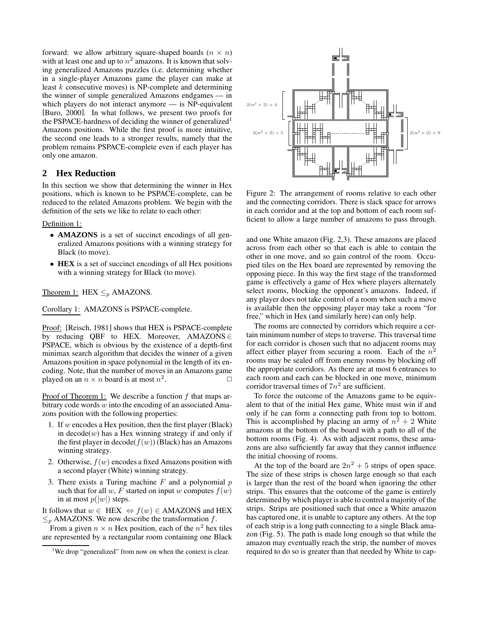forward: we allow arbitrary square-shaped boards  $(n \times n)$ with at least one and up to  $n^2$  amazons. It is known that solving generalized Amazons puzzles (i.e. determining whether in a single-player Amazons game the player can make at least k consecutive moves) is NP-complete and determining the winner of simple generalized Amazons endgames — in which players do not interact anymore — is NP-equivalent [Buro, 2000]. In what follows, we present two proofs for the PSPACE-hardness of deciding the winner of generalized<sup>1</sup> Amazons positions. While the first proof is more intuitive, the second one leads to a stronger results, namely that the problem remains PSPACE-complete even if each player has only one amazon.

## **2 Hex Reduction**

In this section we show that determining the winner in Hex positions, which is known to be PSPACE-complete, can be reduced to the related Amazons problem. We begin with the definition of the sets we like to relate to each other:

Definition 1:

- **AMAZONS** is a set of succinct encodings of all generalized Amazons positions with a winning strategy for Black (to move).
- **HEX** is a set of succinct encodings of all Hex positions with a winning strategy for Black (to move).

#### Theorem 1: HEX  $\leq_p$  AMAZONS.

Corollary 1: AMAZONS is PSPACE-complete.

Proof: [Reisch, 1981] shows that HEX is PSPACE-complete by reducing OBF to HEX. Moreover, AMAZONS  $\in$ PSPACE, which is obvious by the existence of a depth-first minimax search algorithm that decides the winner of a given Amazons position in space polynomial in the length of its encoding. Note, that the number of moves in an Amazons game played on an  $n \times n$  board is at most  $n^2$ .  $\Box$ 

Proof of Theorem 1: We describe a function  $f$  that maps arbitrary code words  $w$  into the encoding of an associated Amazons position with the following properties:

- 1. If w encodes a Hex position, then the first player (Black) in  $decode(w)$  has a Hex winning strategy if and only if the first player in  $decode(f(w))$  (Black) has an Amazons winning strategy.
- 2. Otherwise,  $f(w)$  encodes a fixed Amazons position with a second player (White) winning strategy.
- 3. There exists a Turing machine  $F$  and a polynomial  $p$ such that for all w, F started on input w computes  $f(w)$ in at most  $p(|w|)$  steps.

It follows that  $w \in HEX \Leftrightarrow f(w) \in AMAZONS$  and HEX  $\leq_p$  AMAZONS. We now describe the transformation f.

From a given  $n \times n$  Hex position, each of the  $n^2$  hex tiles are represented by a rectangular room containing one Black



Figure 2: The arrangement of rooms relative to each other and the connecting corridors. There is slack space for arrows in each corridor and at the top and bottom of each room sufficient to allow a large number of amazons to pass through.

and one White amazon (Fig. 2,3). These amazons are placed across from each other so that each is able to contain the other in one move, and so gain control of the room. Occupied tiles on the Hex board are represented by removing the opposing piece. In this way the first stage of the transformed game is effectively a game of Hex where players alternately select rooms, blocking the opponent's amazons. Indeed, if any player does not take control of a room when such a move is available then the opposing player may take a room "for free," which in Hex (and similarly here) can only help.

The rooms are connected by corridors which require a certain minimum number of steps to traverse. This traversal time for each corridor is chosen such that no adjacent rooms may affect either player from securing a room. Each of the  $n^2$ rooms may be sealed off from enemy rooms by blocking off the appropriate corridors. As there are at most 6 entrances to each room and each can be blocked in one move, minimum corridor traversal times of  $7n^2$  are sufficient.

To force the outcome of the Amazons game to be equivalent to that of the initial Hex game, White must win if and only if he can form a connecting path from top to bottom. This is accomplished by placing an army of  $n^2 + 2$  White amazons at the bottom of the board with a path to all of the bottom rooms (Fig. 4). As with adjacent rooms, these amazons are also sufficiently far away that they cannot influence the initial choosing of rooms.

At the top of the board are  $2n^2 + 5$  strips of open space. The size of these strips is chosen large enough so that each is larger than the rest of the board when ignoring the other strips. This ensures that the outcome of the game is entirely determined by which player is able to control a majority of the strips. Strips are positioned such that once a White amazon has captured one, it is unable to capture any others. At the top of each strip is a long path connecting to a single Black amazon (Fig. 5). The path is made long enough so that while the amazon may eventually reach the strip, the number of moves required to do so is greater than that needed by White to cap-

<sup>&</sup>lt;sup>1</sup>We drop "generalized" from now on when the context is clear.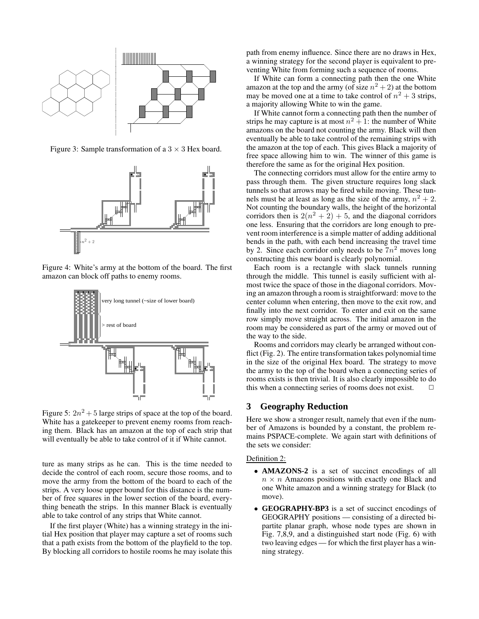

Figure 3: Sample transformation of a  $3 \times 3$  Hex board.



Figure 4: White's army at the bottom of the board. The first amazon can block off paths to enemy rooms.



Figure 5:  $2n^2 + 5$  large strips of space at the top of the board. White has a gatekeeper to prevent enemy rooms from reaching them. Black has an amazon at the top of each strip that will eventually be able to take control of it if White cannot.

ture as many strips as he can. This is the time needed to decide the control of each room, secure those rooms, and to move the army from the bottom of the board to each of the strips. A very loose upper bound for this distance is the number of free squares in the lower section of the board, everything beneath the strips. In this manner Black is eventually able to take control of any strips that White cannot.

If the first player (White) has a winning strategy in the initial Hex position that player may capture a set of rooms such that a path exists from the bottom of the playfield to the top. By blocking all corridors to hostile rooms he may isolate this path from enemy influence. Since there are no draws in Hex, a winning strategy for the second player is equivalent to preventing White from forming such a sequence of rooms.

If White can form a connecting path then the one White amazon at the top and the army (of size  $n^2 + 2$ ) at the bottom may be moved one at a time to take control of  $n^2 + 3$  strips, a majority allowing White to win the game.

If White cannot form a connecting path then the number of strips he may capture is at most  $n^2 + 1$ : the number of White amazons on the board not counting the army. Black will then eventually be able to take control of the remaining strips with the amazon at the top of each. This gives Black a majority of free space allowing him to win. The winner of this game is therefore the same as for the original Hex position.

The connecting corridors must allow for the entire army to pass through them. The given structure requires long slack tunnels so that arrows may be fired while moving. These tunnels must be at least as long as the size of the army,  $n^2 + 2$ . Not counting the boundary walls, the height of the horizontal corridors then is  $2(n^2 + 2) + 5$ , and the diagonal corridors one less. Ensuring that the corridors are long enough to prevent room interference is a simple matter of adding additional bends in the path, with each bend increasing the travel time by 2. Since each corridor only needs to be  $7n^2$  moves long constructing this new board is clearly polynomial.

Each room is a rectangle with slack tunnels running through the middle. This tunnel is easily sufficient with almost twice the space of those in the diagonal corridors. Moving an amazon through a room is straightforward: move to the center column when entering, then move to the exit row, and finally into the next corridor. To enter and exit on the same row simply move straight across. The initial amazon in the room may be considered as part of the army or moved out of the way to the side.

Rooms and corridors may clearly be arranged without conflict (Fig. 2). The entire transformation takes polynomial time in the size of the original Hex board. The strategy to move the army to the top of the board when a connecting series of rooms exists is then trivial. It is also clearly impossible to do this when a connecting series of rooms does not exist.

## **3 Geography Reduction**

Here we show a stronger result, namely that even if the number of Amazons is bounded by a constant, the problem remains PSPACE-complete. We again start with definitions of the sets we consider:

#### Definition 2:

- **AMAZONS-2** is a set of succinct encodings of all  $n \times n$  Amazons positions with exactly one Black and one White amazon and a winning strategy for Black (to move).
- **GEOGRAPHY-BP3** is a set of succinct encodings of GEOGRAPHY positions — consisting of a directed bipartite planar graph, whose node types are shown in Fig. 7,8,9, and a distinguished start node (Fig. 6) with two leaving edges — for which the first player has a winning strategy.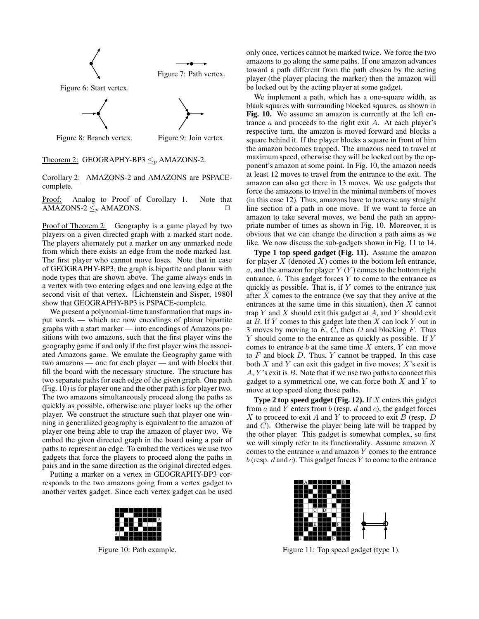

Theorem 2: GEOGRAPHY-BP3  $\leq_p$  AMAZONS-2.

Corollary 2: AMAZONS-2 and AMAZONS are PSPACEcomplete.

Proof: Analog to Proof of Corollary 1. Note that AMAZONS-2  $\leq_p$  AMAZONS.

Proof of Theorem 2: Geography is a game played by two players on a given directed graph with a marked start node. The players alternately put a marker on any unmarked node from which there exists an edge from the node marked last. The first player who cannot move loses. Note that in case of GEOGRAPHY-BP3, the graph is bipartite and planar with node types that are shown above. The game always ends in a vertex with two entering edges and one leaving edge at the second visit of that vertex. [Lichtenstein and Sisper, 1980] show that GEOGRAPHY-BP3 is PSPACE-complete.

We present a polynomial-time transformation that maps input words — which are now encodings of planar bipartite graphs with a start marker — into encodings of Amazons positions with two amazons, such that the first player wins the geography game if and only if the first player wins the associated Amazons game. We emulate the Geography game with two amazons — one for each player — and with blocks that fill the board with the necessary structure. The structure has two separate paths for each edge of the given graph. One path (Fig. 10) is for player one and the other path is for player two. The two amazons simultaneously proceed along the paths as quickly as possible, otherwise one player locks up the other player. We construct the structure such that player one winning in generalized geography is equivalent to the amazon of player one being able to trap the amazon of player two. We embed the given directed graph in the board using a pair of paths to represent an edge. To embed the vertices we use two gadgets that force the players to proceed along the paths in pairs and in the same direction as the original directed edges.

Putting a marker on a vertex in GEOGRAPHY-BP3 corresponds to the two amazons going from a vertex gadget to another vertex gadget. Since each vertex gadget can be used



Figure 10: Path example.

only once, vertices cannot be marked twice. We force the two amazons to go along the same paths. If one amazon advances toward a path different from the path chosen by the acting player (the player placing the marker) then the amazon will be locked out by the acting player at some gadget.

We implement a path, which has a one-square width, as blank squares with surrounding blocked squares, as shown in **Fig. 10.** We assume an amazon is currently at the left entrance  $a$  and proceeds to the right exit  $A$ . At each player's respective turn, the amazon is moved forward and blocks a square behind it. If the player blocks a square in front of him the amazon becomes trapped. The amazons need to travel at maximum speed, otherwise they will be locked out by the opponent's amazon at some point. In Fig. 10, the amazon needs at least 12 moves to travel from the entrance to the exit. The amazon can also get there in 13 moves. We use gadgets that force the amazons to travel in the minimal numbers of moves (in this case 12). Thus, amazons have to traverse any straight line section of a path in one move. If we want to force an amazon to take several moves, we bend the path an appropriate number of times as shown in Fig. 10. Moreover, it is obvious that we can change the direction a path aims as we like. We now discuss the sub-gadgets shown in Fig. 11 to 14.

**Type 1 top speed gadget (Fig. 11).** Assume the amazon for player  $X$  (denoted  $X$ ) comes to the bottom left entrance, a, and the amazon for player  $Y(Y)$  comes to the bottom right entrance,  $b$ . This gadget forces  $Y$  to come to the entrance as quickly as possible. That is, if  $Y$  comes to the entrance just after  $X$  comes to the entrance (we say that they arrive at the entrances at the same time in this situation), then  $X$  cannot trap  $Y$  and  $X$  should exit this gadget at  $A$ , and  $Y$  should exit at  $B$ . If  $Y$  comes to this gadget late then  $X$  can lock  $Y$  out in 3 moves by moving to  $E$ ,  $C$ , then  $D$  and blocking  $F$ . Thus Y should come to the entrance as quickly as possible. If Y comes to entrance  $b$  at the same time  $X$  enters,  $Y$  can move to  $F$  and block  $D$ . Thus,  $Y$  cannot be trapped. In this case both  $X$  and  $Y$  can exit this gadget in five moves;  $X$ 's exit is  $A, Y$ 's exit is  $B$ . Note that if we use two paths to connect this gadget to a symmetrical one, we can force both  $X$  and  $Y$  to move at top speed along those paths.

**Type 2 top speed gadget (Fig. 12).** If X enters this gadget from  $a$  and  $Y$  enters from  $b$  (resp.  $d$  and  $c$ ), the gadget forces  $X$  to proceed to exit  $A$  and  $Y$  to proceed to exit  $B$  (resp.  $D$ and C). Otherwise the player being late will be trapped by the other player. This gadget is somewhat complex, so first we will simply refer to its functionality. Assume amazon X comes to the entrance  $a$  and amazon  $Y$  comes to the entrance  $b$  (resp.  $d$  and  $c$ ). This gadget forces  $Y$  to come to the entrance



Figure 11: Top speed gadget (type 1).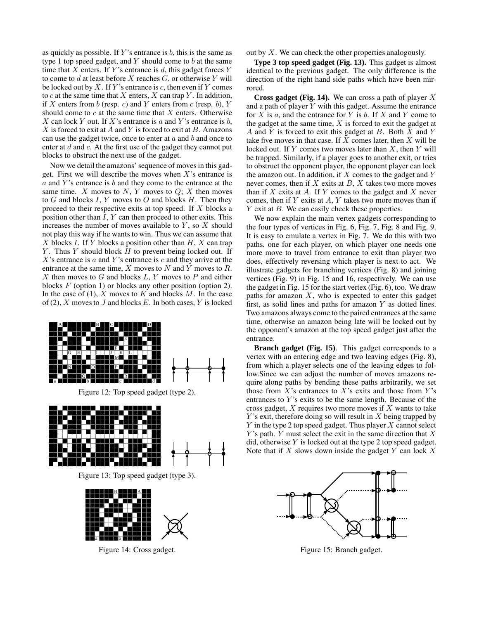as quickly as possible. If Y's entrance is  $b$ , this is the same as type 1 top speed gadget, and  $Y$  should come to  $b$  at the same time that X enters. If Y's entrance is  $d$ , this gadget forces Y to come to  $d$  at least before  $X$  reaches  $G$ , or otherwise  $Y$  will be locked out by  $X$ . If Y's entrance is  $c$ , then even if Y comes to  $c$  at the same time that  $X$  enters,  $X$  can trap  $Y$ . In addition, if X enters from b (resp. c) and Y enters from c (resp. b), Y should come to  $c$  at the same time that  $X$  enters. Otherwise X can lock Y out. If X's entrance is a and Y's entrance is b,  $X$  is forced to exit at  $A$  and  $Y$  is forced to exit at  $B$ . Amazons can use the gadget twice, once to enter at  $a$  and  $b$  and once to enter at  $d$  and  $c$ . At the first use of the gadget they cannot put blocks to obstruct the next use of the gadget.

Now we detail the amazons' sequence of moves in this gadget. First we will describe the moves when  $X$ 's entrance is  $a$  and Y's entrance is  $b$  and they come to the entrance at the same time. X moves to N, Y moves to  $Q$ ; X then moves to G and blocks I, Y moves to O and blocks H. Then they proceed to their respective exits at top speed. If X blocks a position other than I, Y can then proceed to other exits. This increases the number of moves available to  $Y$ , so  $X$  should not play this way if he wants to win. Thus we can assume that X blocks I. If Y blocks a position other than  $H, X$  can trap Y. Thus Y should block  $H$  to prevent being locked out. If  $X$ 's entrance is  $a$  and  $Y$ 's entrance is  $c$  and they arrive at the entrance at the same time,  $X$  moves to  $N$  and  $Y$  moves to  $R$ .  $X$  then moves to  $G$  and blocks  $L, Y$  moves to  $P$  and either blocks  $F$  (option 1) or blocks any other position (option 2). In the case of  $(1)$ , X moves to K and blocks M. In the case of (2), X moves to J and blocks E. In both cases, Y is locked





Figure 14: Cross gadget.

out by  $X$ . We can check the other properties analogously.

**Type 3 top speed gadget (Fig. 13).** This gadget is almost identical to the previous gadget. The only difference is the direction of the right hand side paths which have been mirrored.

**Cross gadget (Fig. 14).** We can cross a path of player X and a path of player  $Y$  with this gadget. Assume the entrance for  $X$  is  $a$ , and the entrance for  $Y$  is  $b$ . If  $X$  and  $Y$  come to the gadget at the same time,  $X$  is forced to exit the gadget at A and Y is forced to exit this gadget at B. Both X and Y take five moves in that case. If  $X$  comes later, then  $X$  will be locked out. If  $Y$  comes two moves later than  $X$ , then  $Y$  will be trapped. Similarly, if a player goes to another exit, or tries to obstruct the opponent player, the opponent player can lock the amazon out. In addition, if  $X$  comes to the gadget and  $Y$ never comes, then if  $X$  exits at  $B$ ,  $X$  takes two more moves than if  $X$  exits at  $A$ . If  $Y$  comes to the gadget and  $X$  never comes, then if  $Y$  exits at  $A$ ,  $Y$  takes two more moves than if  $Y$  exit at  $B$ . We can easily check these properties.

We now explain the main vertex gadgets corresponding to the four types of vertices in Fig. 6, Fig. 7, Fig. 8 and Fig. 9. It is easy to emulate a vertex in Fig. 7. We do this with two paths, one for each player, on which player one needs one more move to travel from entrance to exit than player two does, effectively reversing which player is next to act. We illustrate gadgets for branching vertices (Fig. 8) and joining vertices (Fig. 9) in Fig. 15 and 16, respectively. We can use the gadget in Fig. 15 for the start vertex (Fig. 6), too. We draw paths for amazon  $X$ , who is expected to enter this gadget first, as solid lines and paths for amazon  $Y$  as dotted lines. Two amazons always come to the paired entrances at the same time, otherwise an amazon being late will be locked out by the opponent's amazon at the top speed gadget just after the entrance.

**Branch gadget (Fig. 15)**. This gadget corresponds to a vertex with an entering edge and two leaving edges (Fig. 8), from which a player selects one of the leaving edges to follow.Since we can adjust the number of moves amazons require along paths by bending these paths arbitrarily, we set those from  $X$ 's entrances to  $X$ 's exits and those from  $Y$ 's entrances to  $Y$ 's exits to be the same length. Because of the cross gadget,  $X$  requires two more moves if  $X$  wants to take  $Y$ 's exit, therefore doing so will result in  $X$  being trapped by  $Y$  in the type 2 top speed gadget. Thus player  $X$  cannot select  $Y$ 's path.  $Y$  must select the exit in the same direction that  $X$ did, otherwise  $Y$  is locked out at the type 2 top speed gadget. Note that if  $X$  slows down inside the gadget  $Y$  can lock  $X$ 



Figure 15: Branch gadget.